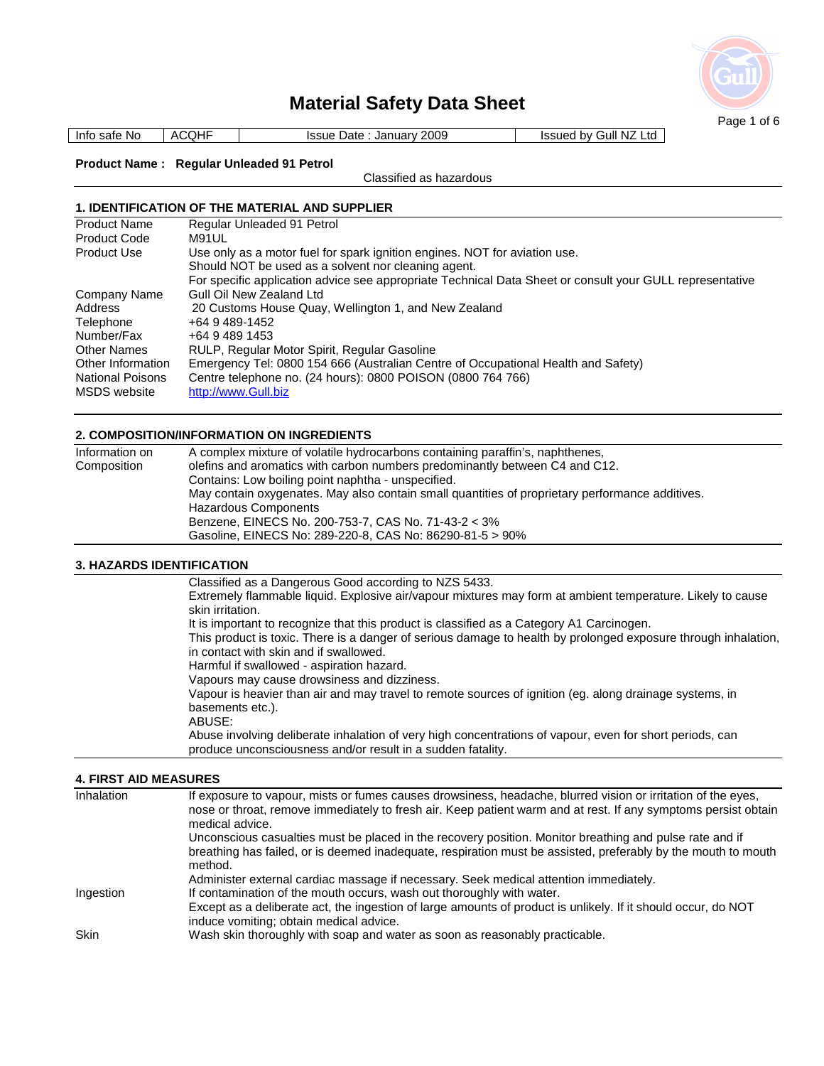

Info safe No | ACQHF | Issue Date : January 2009 | Issued by Gull NZ Ltd

## **Product Name : Regular Unleaded 91 Petrol**

Classified as hazardous

### **1. IDENTIFICATION OF THE MATERIAL AND SUPPLIER**

| Regular Unleaded 91 Petrol                                                                               |
|----------------------------------------------------------------------------------------------------------|
| M91UL                                                                                                    |
| Use only as a motor fuel for spark ignition engines. NOT for aviation use.                               |
| Should NOT be used as a solvent nor cleaning agent.                                                      |
| For specific application advice see appropriate Technical Data Sheet or consult your GULL representative |
| Gull Oil New Zealand Ltd                                                                                 |
| 20 Customs House Quay, Wellington 1, and New Zealand                                                     |
| +64 9 489-1452                                                                                           |
| +64 9 489 1453                                                                                           |
| RULP, Regular Motor Spirit, Regular Gasoline                                                             |
| Emergency Tel: 0800 154 666 (Australian Centre of Occupational Health and Safety)                        |
| Centre telephone no. (24 hours): 0800 POISON (0800 764 766)                                              |
| http://www.Gull.biz                                                                                      |
|                                                                                                          |

### **2. COMPOSITION/INFORMATION ON INGREDIENTS**

| Information on | A complex mixture of volatile hydrocarbons containing paraffin's, naphthenes,                   |
|----------------|-------------------------------------------------------------------------------------------------|
| Composition    | olefins and aromatics with carbon numbers predominantly between C4 and C12.                     |
|                | Contains: Low boiling point naphtha - unspecified.                                              |
|                | May contain oxygenates. May also contain small quantities of proprietary performance additives. |
|                | Hazardous Components                                                                            |
|                | Benzene, EINECS No. 200-753-7, CAS No. 71-43-2 < 3%                                             |
|                | Gasoline, EINECS No: 289-220-8, CAS No: 86290-81-5 > 90%                                        |

### **3. HAZARDS IDENTIFICATION**

| Classified as a Dangerous Good according to NZS 5433.                                                          |
|----------------------------------------------------------------------------------------------------------------|
| Extremely flammable liquid. Explosive air/vapour mixtures may form at ambient temperature. Likely to cause     |
| skin irritation.                                                                                               |
| It is important to recognize that this product is classified as a Category A1 Carcinogen.                      |
| This product is toxic. There is a danger of serious damage to health by prolonged exposure through inhalation, |
| in contact with skin and if swallowed.                                                                         |
| Harmful if swallowed - aspiration hazard.                                                                      |
| Vapours may cause drowsiness and dizziness.                                                                    |
| Vapour is heavier than air and may travel to remote sources of ignition (eg. along drainage systems, in        |
| basements etc.).                                                                                               |
| ABUSE:                                                                                                         |
| Abuse involving deliberate inhalation of very high concentrations of vapour, even for short periods, can       |
| produce unconsciousness and/or result in a sudden fatality.                                                    |

### **4. FIRST AID MEASURES**

| Inhalation  | If exposure to vapour, mists or fumes causes drowsiness, headache, blurred vision or irritation of the eyes,<br>nose or throat, remove immediately to fresh air. Keep patient warm and at rest. If any symptoms persist obtain<br>medical advice. |
|-------------|---------------------------------------------------------------------------------------------------------------------------------------------------------------------------------------------------------------------------------------------------|
|             | Unconscious casualties must be placed in the recovery position. Monitor breathing and pulse rate and if<br>breathing has failed, or is deemed inadequate, respiration must be assisted, preferably by the mouth to mouth<br>method.               |
|             | Administer external cardiac massage if necessary. Seek medical attention immediately.                                                                                                                                                             |
| Ingestion   | If contamination of the mouth occurs, wash out thoroughly with water.<br>Except as a deliberate act, the ingestion of large amounts of product is unlikely. If it should occur, do NOT<br>induce vomiting; obtain medical advice.                 |
| <b>Skin</b> | Wash skin thoroughly with soap and water as soon as reasonably practicable.                                                                                                                                                                       |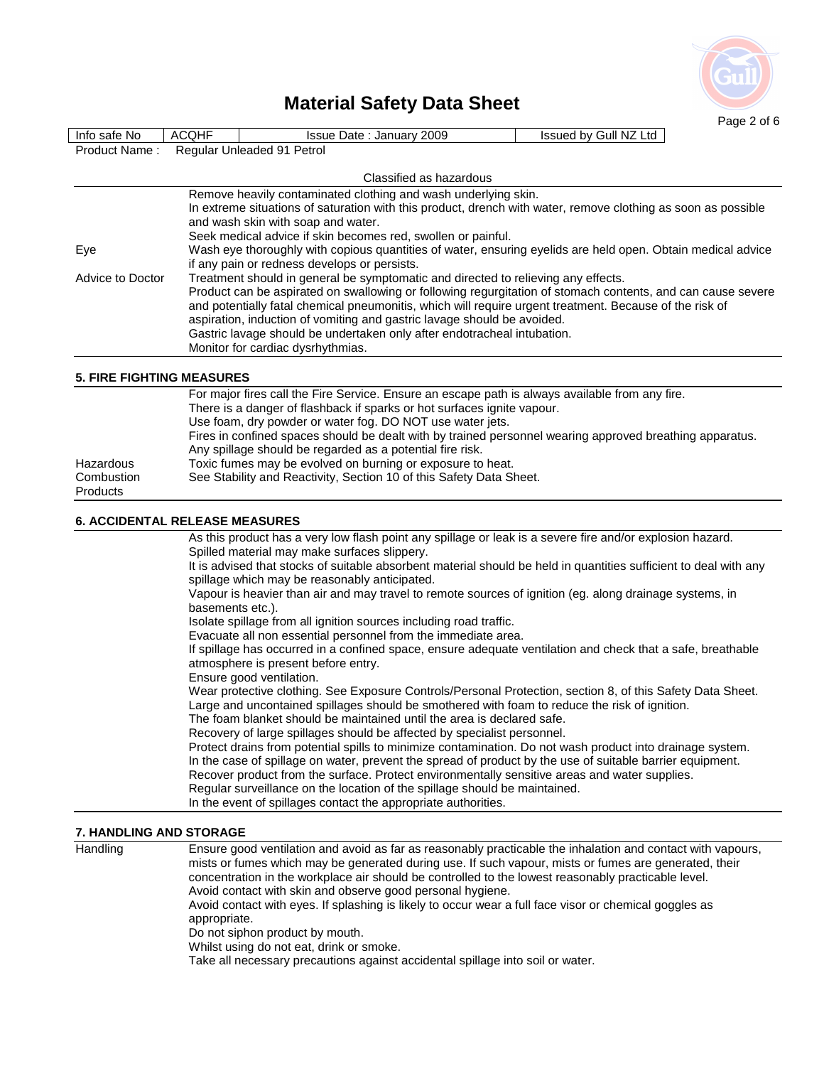

|                                       |                  |                                                                                                                                   |                       | Page 2 of 6 |  |
|---------------------------------------|------------------|-----------------------------------------------------------------------------------------------------------------------------------|-----------------------|-------------|--|
| Info safe No                          | <b>ACQHF</b>     | Issue Date: January 2009                                                                                                          | Issued by Gull NZ Ltd |             |  |
| Product Name:                         |                  | Regular Unleaded 91 Petrol                                                                                                        |                       |             |  |
|                                       |                  |                                                                                                                                   |                       |             |  |
|                                       |                  | Classified as hazardous                                                                                                           |                       |             |  |
|                                       |                  | Remove heavily contaminated clothing and wash underlying skin.                                                                    |                       |             |  |
|                                       |                  | In extreme situations of saturation with this product, drench with water, remove clothing as soon as possible                     |                       |             |  |
|                                       |                  | and wash skin with soap and water.                                                                                                |                       |             |  |
|                                       |                  | Seek medical advice if skin becomes red, swollen or painful.                                                                      |                       |             |  |
| Eye                                   |                  | Wash eye thoroughly with copious quantities of water, ensuring eyelids are held open. Obtain medical advice                       |                       |             |  |
|                                       |                  | if any pain or redness develops or persists.<br>Treatment should in general be symptomatic and directed to relieving any effects. |                       |             |  |
| Advice to Doctor                      |                  | Product can be aspirated on swallowing or following regurgitation of stomach contents, and can cause severe                       |                       |             |  |
|                                       |                  | and potentially fatal chemical pneumonitis, which will require urgent treatment. Because of the risk of                           |                       |             |  |
|                                       |                  | aspiration, induction of vomiting and gastric lavage should be avoided.                                                           |                       |             |  |
|                                       |                  | Gastric lavage should be undertaken only after endotracheal intubation.                                                           |                       |             |  |
|                                       |                  | Monitor for cardiac dysrhythmias.                                                                                                 |                       |             |  |
|                                       |                  |                                                                                                                                   |                       |             |  |
| <b>5. FIRE FIGHTING MEASURES</b>      |                  |                                                                                                                                   |                       |             |  |
|                                       |                  | For major fires call the Fire Service. Ensure an escape path is always available from any fire.                                   |                       |             |  |
|                                       |                  | There is a danger of flashback if sparks or hot surfaces ignite vapour.                                                           |                       |             |  |
|                                       |                  | Use foam, dry powder or water fog. DO NOT use water jets.                                                                         |                       |             |  |
|                                       |                  | Fires in confined spaces should be dealt with by trained personnel wearing approved breathing apparatus.                          |                       |             |  |
|                                       |                  | Any spillage should be regarded as a potential fire risk.                                                                         |                       |             |  |
| Hazardous                             |                  | Toxic fumes may be evolved on burning or exposure to heat.                                                                        |                       |             |  |
| Combustion                            |                  | See Stability and Reactivity, Section 10 of this Safety Data Sheet.                                                               |                       |             |  |
| <b>Products</b>                       |                  |                                                                                                                                   |                       |             |  |
| <b>6. ACCIDENTAL RELEASE MEASURES</b> |                  |                                                                                                                                   |                       |             |  |
|                                       |                  | As this product has a very low flash point any spillage or leak is a severe fire and/or explosion hazard.                         |                       |             |  |
|                                       |                  | Spilled material may make surfaces slippery.                                                                                      |                       |             |  |
|                                       |                  | It is advised that stocks of suitable absorbent material should be held in quantities sufficient to deal with any                 |                       |             |  |
|                                       |                  | spillage which may be reasonably anticipated.                                                                                     |                       |             |  |
|                                       |                  | Vapour is heavier than air and may travel to remote sources of ignition (eg. along drainage systems, in                           |                       |             |  |
|                                       | basements etc.). |                                                                                                                                   |                       |             |  |
|                                       |                  | Isolate spillage from all ignition sources including road traffic.                                                                |                       |             |  |
|                                       |                  | Evacuate all non essential personnel from the immediate area.                                                                     |                       |             |  |
|                                       |                  | If spillage has occurred in a confined space, ensure adequate ventilation and check that a safe, breathable                       |                       |             |  |
|                                       |                  | atmosphere is present before entry.                                                                                               |                       |             |  |
|                                       |                  | Ensure good ventilation.                                                                                                          |                       |             |  |
|                                       |                  | Wear protective clothing. See Exposure Controls/Personal Protection, section 8, of this Safety Data Sheet.                        |                       |             |  |
|                                       |                  | Large and uncontained spillages should be smothered with foam to reduce the risk of ignition.                                     |                       |             |  |
|                                       |                  | The foam blanket should be maintained until the area is declared safe.                                                            |                       |             |  |
|                                       |                  | Recovery of large spillages should be affected by specialist personnel.                                                           |                       |             |  |
|                                       |                  | Protect drains from potential spills to minimize contamination. Do not wash product into drainage system.                         |                       |             |  |
|                                       |                  | In the case of spillage on water, prevent the spread of product by the use of suitable barrier equipment.                         |                       |             |  |
|                                       |                  | Recover product from the surface. Protect environmentally sensitive areas and water supplies.                                     |                       |             |  |
|                                       |                  | Regular surveillance on the location of the spillage should be maintained.                                                        |                       |             |  |
|                                       |                  | In the event of spillages contact the appropriate authorities.                                                                    |                       |             |  |

### **7. HANDLING AND STORAGE**

Handling Ensure good ventilation and avoid as far as reasonably practicable the inhalation and contact with vapours, mists or fumes which may be generated during use. If such vapour, mists or fumes are generated, their concentration in the workplace air should be controlled to the lowest reasonably practicable level. Avoid contact with skin and observe good personal hygiene. Avoid contact with eyes. If splashing is likely to occur wear a full face visor or chemical goggles as appropriate. Do not siphon product by mouth. Whilst using do not eat, drink or smoke.

Take all necessary precautions against accidental spillage into soil or water.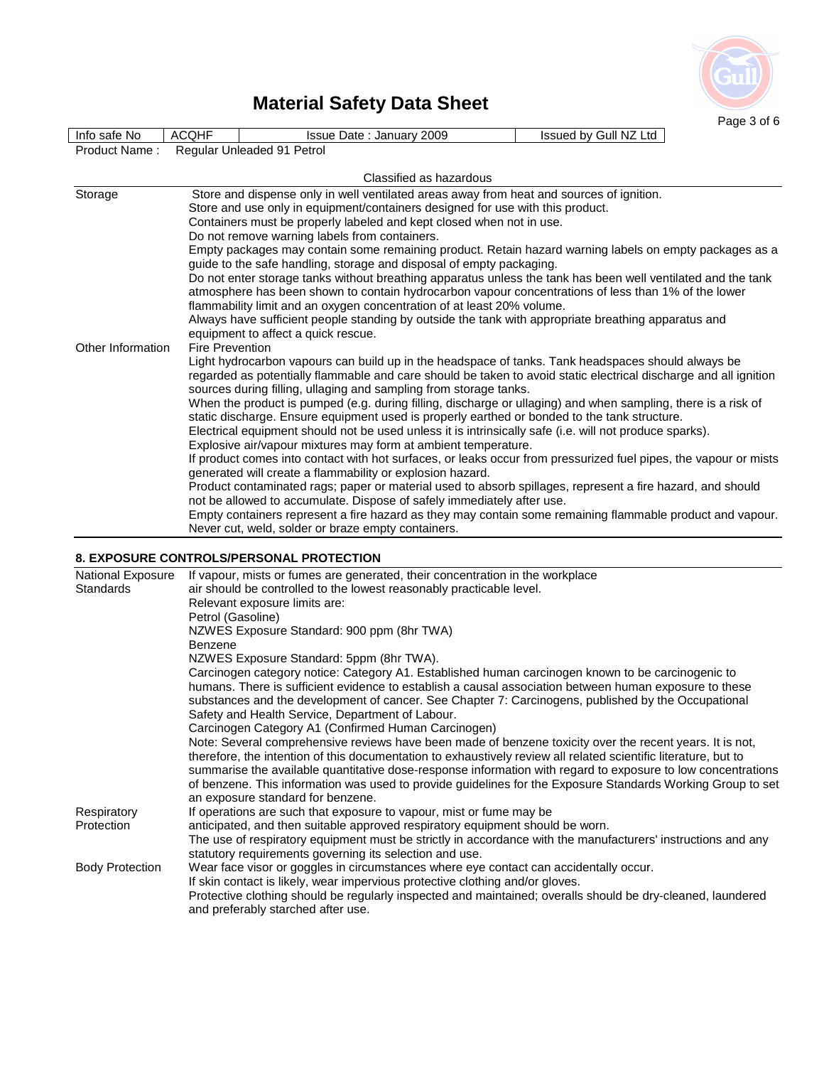

| Info safe No                                                                                                                                                                  | <b>ACQHF</b>               | Issue Date: January 2009                                                                                                                                                              | Issued by Gull NZ Ltd |
|-------------------------------------------------------------------------------------------------------------------------------------------------------------------------------|----------------------------|---------------------------------------------------------------------------------------------------------------------------------------------------------------------------------------|-----------------------|
| Product Name:                                                                                                                                                                 | Regular Unleaded 91 Petrol |                                                                                                                                                                                       |                       |
|                                                                                                                                                                               |                            |                                                                                                                                                                                       |                       |
|                                                                                                                                                                               |                            | Classified as hazardous                                                                                                                                                               |                       |
| Storage                                                                                                                                                                       |                            | Store and dispense only in well ventilated areas away from heat and sources of ignition.                                                                                              |                       |
|                                                                                                                                                                               |                            | Store and use only in equipment/containers designed for use with this product.                                                                                                        |                       |
|                                                                                                                                                                               |                            | Containers must be properly labeled and kept closed when not in use.                                                                                                                  |                       |
|                                                                                                                                                                               |                            | Do not remove warning labels from containers.                                                                                                                                         |                       |
|                                                                                                                                                                               |                            | Empty packages may contain some remaining product. Retain hazard warning labels on empty packages as a                                                                                |                       |
|                                                                                                                                                                               |                            | guide to the safe handling, storage and disposal of empty packaging.                                                                                                                  |                       |
| Do not enter storage tanks without breathing apparatus unless the tank has been well ventilated and the tank                                                                  |                            |                                                                                                                                                                                       |                       |
| atmosphere has been shown to contain hydrocarbon vapour concentrations of less than 1% of the lower<br>flammability limit and an oxygen concentration of at least 20% volume. |                            |                                                                                                                                                                                       |                       |
| Always have sufficient people standing by outside the tank with appropriate breathing apparatus and                                                                           |                            |                                                                                                                                                                                       |                       |
|                                                                                                                                                                               |                            | equipment to affect a quick rescue.                                                                                                                                                   |                       |
| Other Information                                                                                                                                                             | <b>Fire Prevention</b>     |                                                                                                                                                                                       |                       |
|                                                                                                                                                                               |                            | Light hydrocarbon vapours can build up in the headspace of tanks. Tank headspaces should always be                                                                                    |                       |
|                                                                                                                                                                               |                            | regarded as potentially flammable and care should be taken to avoid static electrical discharge and all ignition<br>sources during filling, ullaging and sampling from storage tanks. |                       |
|                                                                                                                                                                               |                            | When the product is pumped (e.g. during filling, discharge or ullaging) and when sampling, there is a risk of                                                                         |                       |
|                                                                                                                                                                               |                            | static discharge. Ensure equipment used is properly earthed or bonded to the tank structure.                                                                                          |                       |
|                                                                                                                                                                               |                            | Electrical equipment should not be used unless it is intrinsically safe (i.e. will not produce sparks).                                                                               |                       |
|                                                                                                                                                                               |                            | Explosive air/vapour mixtures may form at ambient temperature.                                                                                                                        |                       |
|                                                                                                                                                                               |                            | If product comes into contact with hot surfaces, or leaks occur from pressurized fuel pipes, the vapour or mists                                                                      |                       |
|                                                                                                                                                                               |                            | generated will create a flammability or explosion hazard.                                                                                                                             |                       |
|                                                                                                                                                                               |                            | Product contaminated rags; paper or material used to absorb spillages, represent a fire hazard, and should                                                                            |                       |
|                                                                                                                                                                               |                            | not be allowed to accumulate. Dispose of safely immediately after use.                                                                                                                |                       |
|                                                                                                                                                                               |                            | Empty containers represent a fire hazard as they may contain some remaining flammable product and vapour.                                                                             |                       |
|                                                                                                                                                                               |                            | Never cut, weld, solder or braze empty containers.                                                                                                                                    |                       |

### **8. EXPOSURE CONTROLS/PERSONAL PROTECTION**

| National Exposure      | If vapour, mists or fumes are generated, their concentration in the workplace                                   |
|------------------------|-----------------------------------------------------------------------------------------------------------------|
| <b>Standards</b>       | air should be controlled to the lowest reasonably practicable level.                                            |
|                        | Relevant exposure limits are:                                                                                   |
|                        | Petrol (Gasoline)                                                                                               |
|                        | NZWES Exposure Standard: 900 ppm (8hr TWA)                                                                      |
|                        | Benzene                                                                                                         |
|                        | NZWES Exposure Standard: 5ppm (8hr TWA).                                                                        |
|                        | Carcinogen category notice: Category A1. Established human carcinogen known to be carcinogenic to               |
|                        | humans. There is sufficient evidence to establish a causal association between human exposure to these          |
|                        | substances and the development of cancer. See Chapter 7: Carcinogens, published by the Occupational             |
|                        | Safety and Health Service, Department of Labour.                                                                |
|                        | Carcinogen Category A1 (Confirmed Human Carcinogen)                                                             |
|                        | Note: Several comprehensive reviews have been made of benzene toxicity over the recent years. It is not,        |
|                        | therefore, the intention of this documentation to exhaustively review all related scientific literature, but to |
|                        | summarise the available quantitative dose-response information with regard to exposure to low concentrations    |
|                        | of benzene. This information was used to provide guidelines for the Exposure Standards Working Group to set     |
|                        | an exposure standard for benzene.                                                                               |
| Respiratory            | If operations are such that exposure to vapour, mist or fume may be                                             |
| Protection             | anticipated, and then suitable approved respiratory equipment should be worn.                                   |
|                        | The use of respiratory equipment must be strictly in accordance with the manufacturers' instructions and any    |
|                        | statutory requirements governing its selection and use.                                                         |
| <b>Body Protection</b> | Wear face visor or goggles in circumstances where eye contact can accidentally occur.                           |
|                        | If skin contact is likely, wear impervious protective clothing and/or gloves.                                   |
|                        | Protective clothing should be regularly inspected and maintained; overalls should be dry-cleaned, laundered     |
|                        | and preferably starched after use.                                                                              |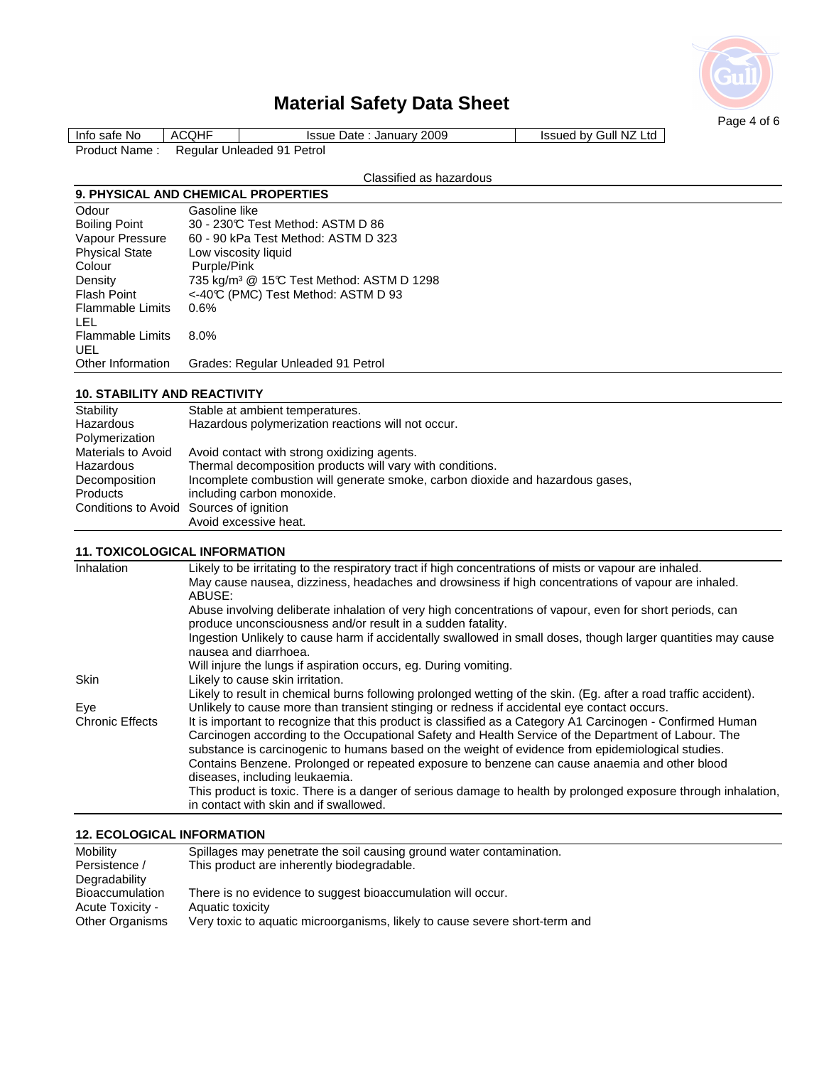

| <b>ACQHF</b><br>Issued by Gull NZ Ltd<br>Info safe No<br><b>Issue Date: January 2009</b> |
|------------------------------------------------------------------------------------------|
| Regular Unleaded 91 Petrol<br>Product Name:                                              |

## Classified as hazardous

## **9. PHYSICAL AND CHEMICAL PROPERTIES**

| Odour                          | Gasoline like                                         |
|--------------------------------|-------------------------------------------------------|
| <b>Boiling Point</b>           | 30 - 230°C Test Method: ASTM D 86                     |
| Vapour Pressure                | 60 - 90 kPa Test Method: ASTM D 323                   |
| <b>Physical State</b>          | Low viscosity liquid                                  |
| Colour                         | Purple/Pink                                           |
| Density                        | 735 kg/m <sup>3</sup> @ 15°C Test Method: ASTM D 1298 |
| <b>Flash Point</b>             | <-40°C (PMC) Test Method: ASTM D 93                   |
| <b>Flammable Limits</b><br>LEL | 0.6%                                                  |
| <b>Flammable Limits</b><br>UEL | 8.0%                                                  |
| Other Information              | Grades: Regular Unleaded 91 Petrol                    |

### **10. STABILITY AND REACTIVITY**

| Stability                               | Stable at ambient temperatures.                                                |
|-----------------------------------------|--------------------------------------------------------------------------------|
| Hazardous                               | Hazardous polymerization reactions will not occur.                             |
| Polymerization                          |                                                                                |
| Materials to Avoid                      | Avoid contact with strong oxidizing agents.                                    |
| Hazardous                               | Thermal decomposition products will vary with conditions.                      |
| Decomposition                           | Incomplete combustion will generate smoke, carbon dioxide and hazardous gases, |
| Products                                | including carbon monoxide.                                                     |
| Conditions to Avoid Sources of ignition |                                                                                |
|                                         | Avoid excessive heat.                                                          |

### **11. TOXICOLOGICAL INFORMATION**

| Inhalation             | Likely to be irritating to the respiratory tract if high concentrations of mists or vapour are inhaled.                                |
|------------------------|----------------------------------------------------------------------------------------------------------------------------------------|
|                        | May cause nausea, dizziness, headaches and drowsiness if high concentrations of vapour are inhaled.                                    |
|                        | ABUSE:                                                                                                                                 |
|                        | Abuse involving deliberate inhalation of very high concentrations of vapour, even for short periods, can                               |
|                        | produce unconsciousness and/or result in a sudden fatality.                                                                            |
|                        | Ingestion Unlikely to cause harm if accidentally swallowed in small doses, though larger quantities may cause<br>nausea and diarrhoea. |
|                        | Will injure the lungs if aspiration occurs, eg. During vomiting.                                                                       |
| <b>Skin</b>            | Likely to cause skin irritation.                                                                                                       |
|                        | Likely to result in chemical burns following prolonged wetting of the skin. (Eg. after a road traffic accident).                       |
| Eye                    | Unlikely to cause more than transient stinging or redness if accidental eye contact occurs.                                            |
| <b>Chronic Effects</b> | It is important to recognize that this product is classified as a Category A1 Carcinogen - Confirmed Human                             |
|                        | Carcinogen according to the Occupational Safety and Health Service of the Department of Labour. The                                    |
|                        | substance is carcinogenic to humans based on the weight of evidence from epidemiological studies.                                      |
|                        | Contains Benzene. Prolonged or repeated exposure to benzene can cause anaemia and other blood                                          |
|                        | diseases, including leukaemia.                                                                                                         |
|                        | This product is toxic. There is a danger of serious damage to health by prolonged exposure through inhalation,                         |
|                        | in contact with skin and if swallowed.                                                                                                 |
|                        |                                                                                                                                        |

### **12. ECOLOGICAL INFORMATION**

| Mobility               | Spillages may penetrate the soil causing ground water contamination.        |
|------------------------|-----------------------------------------------------------------------------|
| Persistence /          | This product are inherently biodegradable.                                  |
| Degradability          |                                                                             |
| <b>Bioaccumulation</b> | There is no evidence to suggest bioaccumulation will occur.                 |
| Acute Toxicity -       | Aquatic toxicity                                                            |
| <b>Other Organisms</b> | Very toxic to aquatic microorganisms, likely to cause severe short-term and |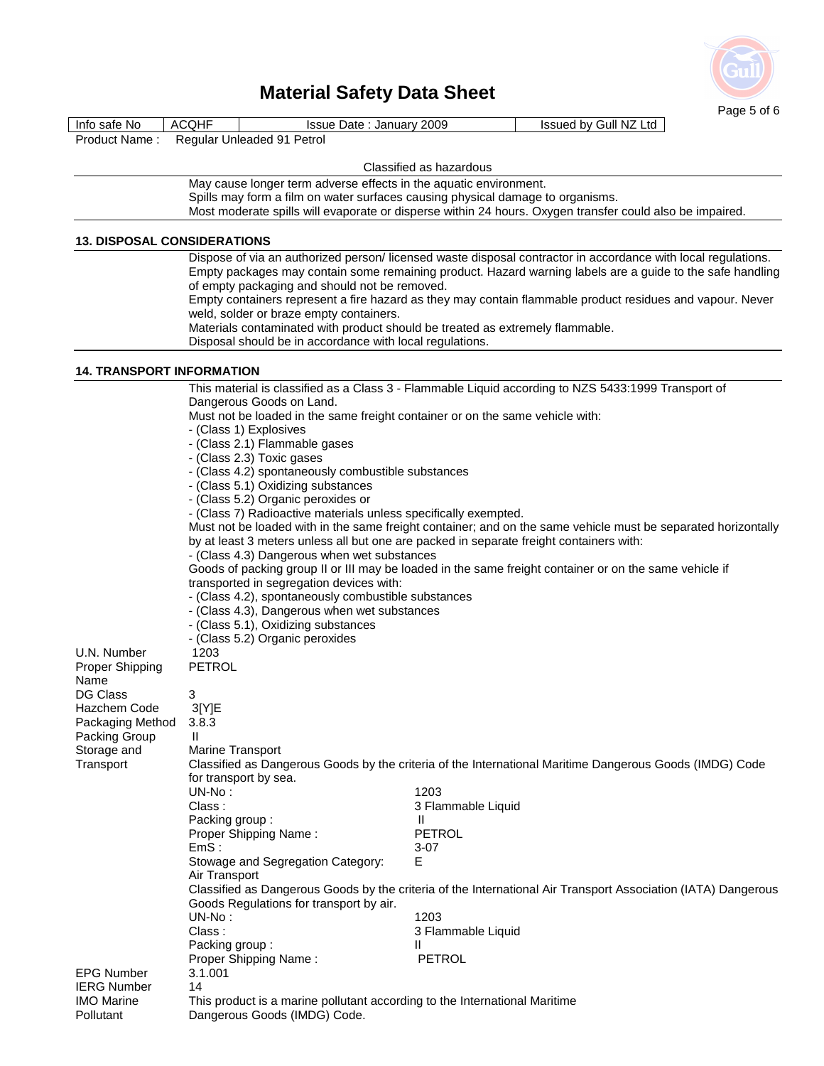

|                                    |                                                                                                                                                                                                                                                                                        | Page 5 of 6                                                                                              |  |
|------------------------------------|----------------------------------------------------------------------------------------------------------------------------------------------------------------------------------------------------------------------------------------------------------------------------------------|----------------------------------------------------------------------------------------------------------|--|
| Info safe No                       | <b>ACQHF</b><br>Issue Date: January 2009                                                                                                                                                                                                                                               | Issued by Gull NZ Ltd                                                                                    |  |
| Product Name:                      | Regular Unleaded 91 Petrol                                                                                                                                                                                                                                                             |                                                                                                          |  |
|                                    |                                                                                                                                                                                                                                                                                        | Classified as hazardous                                                                                  |  |
|                                    | May cause longer term adverse effects in the aquatic environment.                                                                                                                                                                                                                      |                                                                                                          |  |
|                                    |                                                                                                                                                                                                                                                                                        | Spills may form a film on water surfaces causing physical damage to organisms.                           |  |
|                                    |                                                                                                                                                                                                                                                                                        | Most moderate spills will evaporate or disperse within 24 hours. Oxygen transfer could also be impaired. |  |
| <b>13. DISPOSAL CONSIDERATIONS</b> |                                                                                                                                                                                                                                                                                        |                                                                                                          |  |
|                                    | Dispose of via an authorized person/ licensed waste disposal contractor in accordance with local regulations.                                                                                                                                                                          |                                                                                                          |  |
|                                    | Empty packages may contain some remaining product. Hazard warning labels are a guide to the safe handling                                                                                                                                                                              |                                                                                                          |  |
|                                    | of empty packaging and should not be removed.<br>Empty containers represent a fire hazard as they may contain flammable product residues and vapour. Never<br>weld, solder or braze empty containers.<br>Materials contaminated with product should be treated as extremely flammable. |                                                                                                          |  |
|                                    |                                                                                                                                                                                                                                                                                        |                                                                                                          |  |
|                                    |                                                                                                                                                                                                                                                                                        |                                                                                                          |  |
|                                    | Disposal should be in accordance with local regulations.                                                                                                                                                                                                                               |                                                                                                          |  |
| <b>14. TRANSPORT INFORMATION</b>   |                                                                                                                                                                                                                                                                                        |                                                                                                          |  |
|                                    |                                                                                                                                                                                                                                                                                        | This material is classified as a Class 3 - Flammable Liquid according to NZS 5433:1999 Transport of      |  |
|                                    | Dangerous Goods on Land.                                                                                                                                                                                                                                                               |                                                                                                          |  |
|                                    | Must not be loaded in the same freight container or on the same vehicle with:<br>- (Class 1) Explosives                                                                                                                                                                                |                                                                                                          |  |
|                                    | - (Class 2.1) Flammable gases                                                                                                                                                                                                                                                          |                                                                                                          |  |
|                                    | - (Class 2.3) Toxic gases                                                                                                                                                                                                                                                              |                                                                                                          |  |
|                                    | - (Class 4.2) spontaneously combustible substances                                                                                                                                                                                                                                     |                                                                                                          |  |
|                                    | - (Class 5.1) Oxidizing substances                                                                                                                                                                                                                                                     |                                                                                                          |  |
|                                    | - (Class 5.2) Organic peroxides or<br>- (Class 7) Radioactive materials unless specifically exempted.                                                                                                                                                                                  |                                                                                                          |  |
|                                    | Must not be loaded with in the same freight container; and on the same vehicle must be separated horizontally                                                                                                                                                                          |                                                                                                          |  |
|                                    | by at least 3 meters unless all but one are packed in separate freight containers with:                                                                                                                                                                                                |                                                                                                          |  |
|                                    | - (Class 4.3) Dangerous when wet substances                                                                                                                                                                                                                                            |                                                                                                          |  |
|                                    | Goods of packing group II or III may be loaded in the same freight container or on the same vehicle if                                                                                                                                                                                 |                                                                                                          |  |
|                                    | transported in segregation devices with:<br>- (Class 4.2), spontaneously combustible substances                                                                                                                                                                                        |                                                                                                          |  |
|                                    | - (Class 4.3), Dangerous when wet substances                                                                                                                                                                                                                                           |                                                                                                          |  |
|                                    | - (Class 5.1), Oxidizing substances                                                                                                                                                                                                                                                    |                                                                                                          |  |
|                                    | - (Class 5.2) Organic peroxides<br>1203                                                                                                                                                                                                                                                |                                                                                                          |  |
| U.N. Number                        |                                                                                                                                                                                                                                                                                        |                                                                                                          |  |
| Proper Shipping<br>Name            | <b>PETROL</b>                                                                                                                                                                                                                                                                          |                                                                                                          |  |
| DG Class                           | 3                                                                                                                                                                                                                                                                                      |                                                                                                          |  |
| Hazchem Code                       | 3[Y]E                                                                                                                                                                                                                                                                                  |                                                                                                          |  |
| Packaging Method                   | 3.8.3                                                                                                                                                                                                                                                                                  |                                                                                                          |  |
| Packing Group                      | $\mathbf{H}$<br>Marine Transport                                                                                                                                                                                                                                                       |                                                                                                          |  |
| Storage and<br>Transport           | Classified as Dangerous Goods by the criteria of the International Maritime Dangerous Goods (IMDG) Code                                                                                                                                                                                |                                                                                                          |  |
|                                    | for transport by sea.                                                                                                                                                                                                                                                                  |                                                                                                          |  |
|                                    | UN-No:                                                                                                                                                                                                                                                                                 | 1203                                                                                                     |  |
|                                    | Class:                                                                                                                                                                                                                                                                                 | 3 Flammable Liquid                                                                                       |  |
|                                    | Packing group:                                                                                                                                                                                                                                                                         | Ш<br><b>PETROL</b>                                                                                       |  |
|                                    | Proper Shipping Name:<br>EmS:                                                                                                                                                                                                                                                          | 3-07                                                                                                     |  |
|                                    | Stowage and Segregation Category:                                                                                                                                                                                                                                                      | Е                                                                                                        |  |
|                                    | Air Transport                                                                                                                                                                                                                                                                          |                                                                                                          |  |
|                                    | Classified as Dangerous Goods by the criteria of the International Air Transport Association (IATA) Dangerous                                                                                                                                                                          |                                                                                                          |  |
|                                    | Goods Regulations for transport by air.                                                                                                                                                                                                                                                |                                                                                                          |  |
|                                    | $UN-No:$<br>Class:                                                                                                                                                                                                                                                                     | 1203<br>3 Flammable Liquid                                                                               |  |
|                                    | Packing group:                                                                                                                                                                                                                                                                         | Ш                                                                                                        |  |
|                                    | Proper Shipping Name:                                                                                                                                                                                                                                                                  | <b>PETROL</b>                                                                                            |  |
| <b>EPG Number</b>                  | 3.1.001                                                                                                                                                                                                                                                                                |                                                                                                          |  |
| <b>IERG Number</b>                 | 14                                                                                                                                                                                                                                                                                     |                                                                                                          |  |
| <b>IMO Marine</b><br>Pollutant     | This product is a marine pollutant according to the International Maritime                                                                                                                                                                                                             |                                                                                                          |  |
|                                    | Dangerous Goods (IMDG) Code.                                                                                                                                                                                                                                                           |                                                                                                          |  |